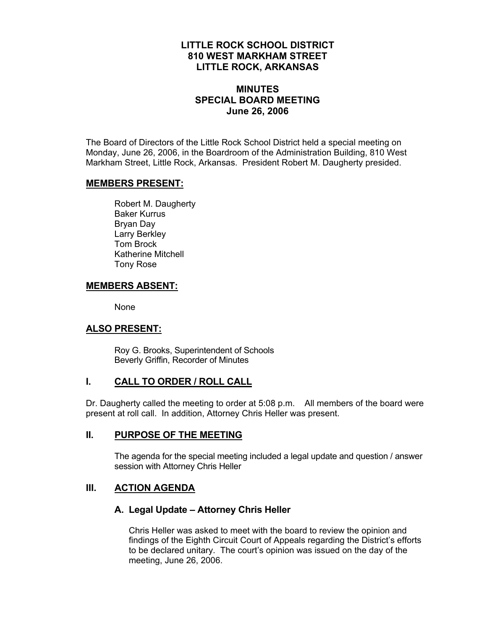## **LITTLE ROCK SCHOOL DISTRICT 810 WEST MARKHAM STREET LITTLE ROCK, ARKANSAS**

## **MINUTES SPECIAL BOARD MEETING June 26, 2006**

The Board of Directors of the Little Rock School District held a special meeting on Monday, June 26, 2006, in the Boardroom of the Administration Building, 810 West Markham Street, Little Rock, Arkansas. President Robert M. Daugherty presided.

#### **MEMBERS PRESENT:**

Robert M. Daugherty Baker Kurrus Bryan Day Larry Berkley Tom Brock Katherine Mitchell Tony Rose

#### **MEMBERS ABSENT:**

None

## **ALSO PRESENT:**

 Roy G. Brooks, Superintendent of Schools Beverly Griffin, Recorder of Minutes

## **I. CALL TO ORDER / ROLL CALL**

Dr. Daugherty called the meeting to order at 5:08 p.m. All members of the board were present at roll call. In addition, Attorney Chris Heller was present.

#### **II. PURPOSE OF THE MEETING**

The agenda for the special meeting included a legal update and question / answer session with Attorney Chris Heller

## **III. ACTION AGENDA**

## **A. Legal Update – Attorney Chris Heller**

Chris Heller was asked to meet with the board to review the opinion and findings of the Eighth Circuit Court of Appeals regarding the District's efforts to be declared unitary. The court's opinion was issued on the day of the meeting, June 26, 2006.